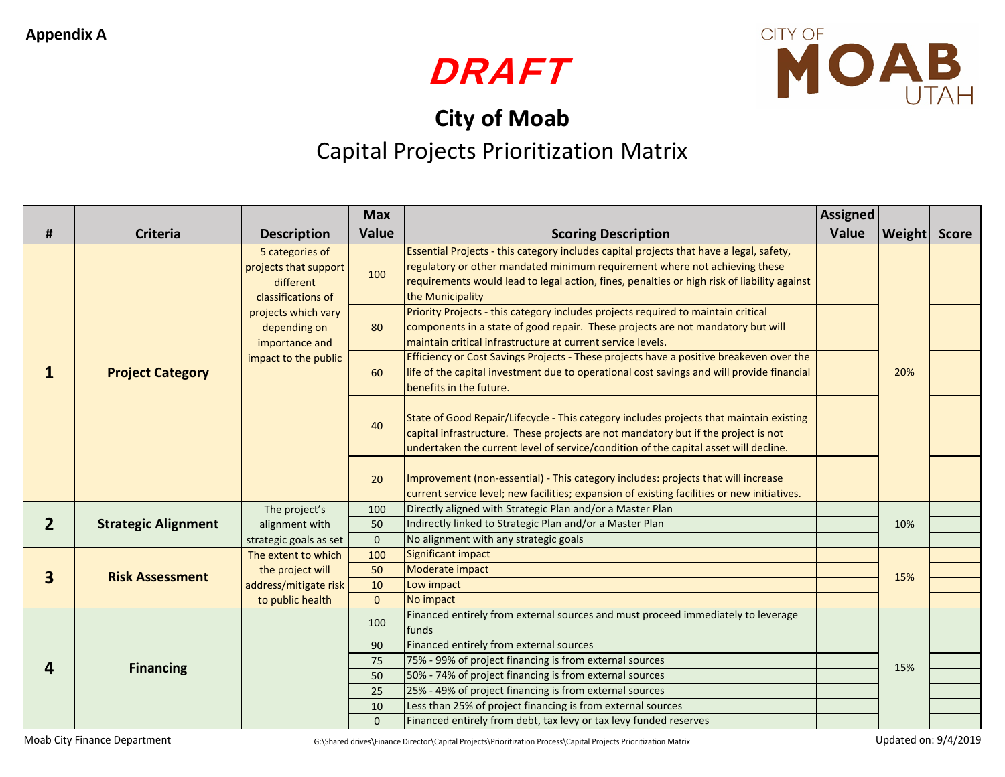



## **City of Moab** Capital Projects Prioritization Matrix

|                         |                            |                                                                                                                                                              | <b>Max</b>          |                                                                                                                                                                                                                                                                                          | <b>Assigned</b> |                     |  |
|-------------------------|----------------------------|--------------------------------------------------------------------------------------------------------------------------------------------------------------|---------------------|------------------------------------------------------------------------------------------------------------------------------------------------------------------------------------------------------------------------------------------------------------------------------------------|-----------------|---------------------|--|
| $\pmb{\sharp}$          | <b>Criteria</b>            | <b>Description</b>                                                                                                                                           | Value               | <b>Scoring Description</b>                                                                                                                                                                                                                                                               | Value           | <b>Weight</b> Score |  |
|                         | <b>Project Category</b>    | 5 categories of<br>projects that support<br>different<br>classifications of<br>projects which vary<br>depending on<br>importance and<br>impact to the public | 100                 | Essential Projects - this category includes capital projects that have a legal, safety,<br>regulatory or other mandated minimum requirement where not achieving these<br>requirements would lead to legal action, fines, penalties or high risk of liability against<br>the Municipality |                 |                     |  |
|                         |                            |                                                                                                                                                              | 80                  | Priority Projects - this category includes projects required to maintain critical<br>components in a state of good repair. These projects are not mandatory but will<br>maintain critical infrastructure at current service levels.                                                      |                 |                     |  |
|                         |                            |                                                                                                                                                              | 60                  | Efficiency or Cost Savings Projects - These projects have a positive breakeven over the<br>life of the capital investment due to operational cost savings and will provide financial<br>benefits in the future.                                                                          |                 | 20%                 |  |
|                         |                            |                                                                                                                                                              | 40                  | State of Good Repair/Lifecycle - This category includes projects that maintain existing<br>capital infrastructure. These projects are not mandatory but if the project is not<br>undertaken the current level of service/condition of the capital asset will decline.                    |                 |                     |  |
|                         |                            |                                                                                                                                                              | 20                  | Improvement (non-essential) - This category includes: projects that will increase<br>current service level; new facilities; expansion of existing facilities or new initiatives.                                                                                                         |                 |                     |  |
| 2 <sup>1</sup>          | <b>Strategic Alignment</b> | The project's<br>alignment with<br>50                                                                                                                        | 100                 | Directly aligned with Strategic Plan and/or a Master Plan                                                                                                                                                                                                                                |                 | 10%                 |  |
|                         |                            |                                                                                                                                                              |                     | Indirectly linked to Strategic Plan and/or a Master Plan                                                                                                                                                                                                                                 |                 |                     |  |
|                         |                            | strategic goals as set<br>The extent to which                                                                                                                | $\mathbf{0}$<br>100 | No alignment with any strategic goals<br>Significant impact                                                                                                                                                                                                                              |                 |                     |  |
| $\overline{\mathbf{3}}$ | <b>Risk Assessment</b>     | the project will                                                                                                                                             | 50                  | Moderate impact                                                                                                                                                                                                                                                                          |                 |                     |  |
|                         |                            | address/mitigate risk                                                                                                                                        | 10                  | Low impact                                                                                                                                                                                                                                                                               |                 | 15%                 |  |
|                         |                            | to public health                                                                                                                                             | $\Omega$            | No impact                                                                                                                                                                                                                                                                                |                 |                     |  |
| 4                       | <b>Financing</b>           |                                                                                                                                                              | 100                 | Financed entirely from external sources and must proceed immediately to leverage<br>funds                                                                                                                                                                                                |                 | 15%                 |  |
|                         |                            |                                                                                                                                                              | 90                  | Financed entirely from external sources                                                                                                                                                                                                                                                  |                 |                     |  |
|                         |                            |                                                                                                                                                              | 75                  | 75% - 99% of project financing is from external sources                                                                                                                                                                                                                                  |                 |                     |  |
|                         |                            |                                                                                                                                                              | 50                  | 50% - 74% of project financing is from external sources                                                                                                                                                                                                                                  |                 |                     |  |
|                         |                            |                                                                                                                                                              | 25                  | 25% - 49% of project financing is from external sources<br>Less than 25% of project financing is from external sources                                                                                                                                                                   |                 |                     |  |
|                         |                            |                                                                                                                                                              | 10<br>$\Omega$      | Financed entirely from debt, tax levy or tax levy funded reserves                                                                                                                                                                                                                        |                 |                     |  |
|                         |                            |                                                                                                                                                              |                     |                                                                                                                                                                                                                                                                                          |                 |                     |  |

Moab City Finance Department G:\Shared drives\Finance Director\Capital Projects\Prioritization Process\Capital Projects Prioritization Matrix Updated on: 9/4/2019